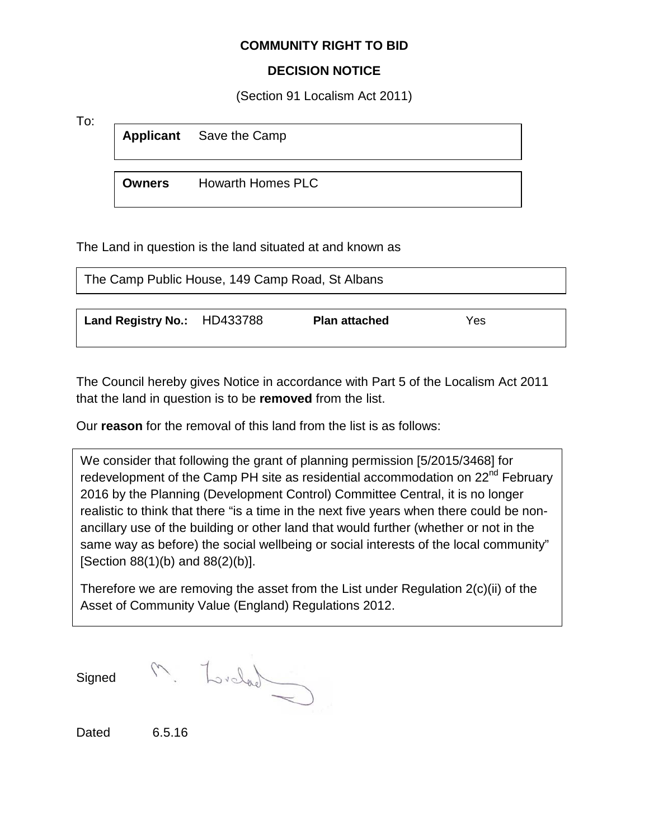## **COMMUNITY RIGHT TO BID**

## **DECISION NOTICE**

(Section 91 Localism Act 2011)

To:

**Applicant** Save the Camp

**Owners** Howarth Homes PLC

The Land in question is the land situated at and known as

| The Camp Public House, 149 Camp Road, St Albans |  |                      |     |
|-------------------------------------------------|--|----------------------|-----|
| Land Registry No.: HD433788                     |  | <b>Plan attached</b> | Yes |

The Council hereby gives Notice in accordance with Part 5 of the Localism Act 2011 that the land in question is to be **removed** from the list.

Our **reason** for the removal of this land from the list is as follows:

We consider that following the grant of planning permission [5/2015/3468] for redevelopment of the Camp PH site as residential accommodation on 22<sup>nd</sup> February 2016 by the Planning (Development Control) Committee Central, it is no longer realistic to think that there "is a time in the next five years when there could be nonancillary use of the building or other land that would further (whether or not in the same way as before) the social wellbeing or social interests of the local community" [Section 88(1)(b) and 88(2)(b)].

Therefore we are removing the asset from the List under Regulation 2(c)(ii) of the Asset of Community Value (England) Regulations 2012.

**Signed** 

M. Ludad

Dated 6.5.16